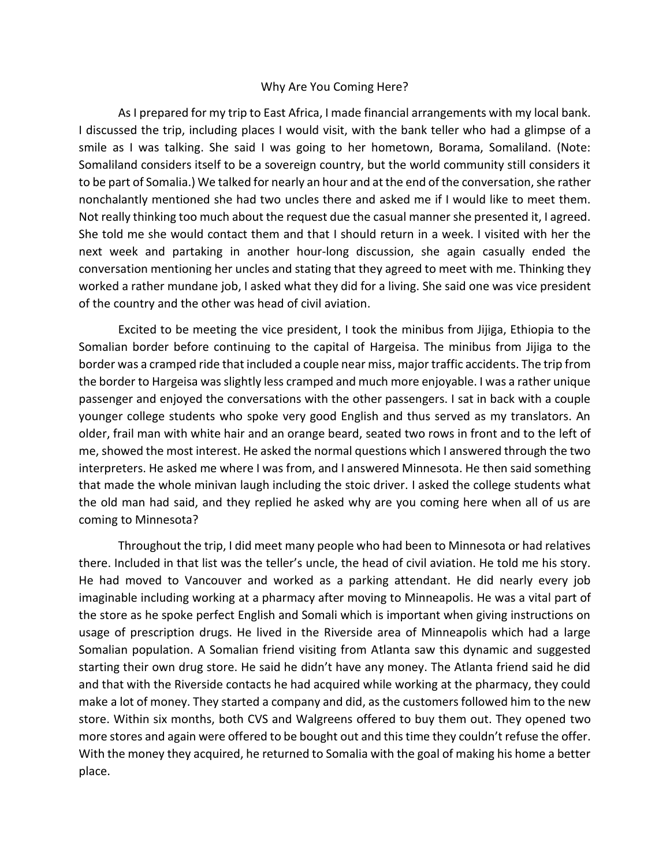## Why Are You Coming Here?

As I prepared for my trip to East Africa, I made financial arrangements with my local bank. I discussed the trip, including places I would visit, with the bank teller who had a glimpse of a smile as I was talking. She said I was going to her hometown, Borama, Somaliland. (Note: Somaliland considers itself to be a sovereign country, but the world community still considers it to be part of Somalia.) We talked for nearly an hour and at the end of the conversation, she rather nonchalantly mentioned she had two uncles there and asked me if I would like to meet them. Not really thinking too much about the request due the casual manner she presented it, I agreed. She told me she would contact them and that I should return in a week. I visited with her the next week and partaking in another hour-long discussion, she again casually ended the conversation mentioning her uncles and stating that they agreed to meet with me. Thinking they worked a rather mundane job, I asked what they did for a living. She said one was vice president of the country and the other was head of civil aviation.

Excited to be meeting the vice president, I took the minibus from Jijiga, Ethiopia to the Somalian border before continuing to the capital of Hargeisa. The minibus from Jijiga to the border was a cramped ride that included a couple near miss, major traffic accidents. The trip from the border to Hargeisa was slightly less cramped and much more enjoyable. I was a rather unique passenger and enjoyed the conversations with the other passengers. I sat in back with a couple younger college students who spoke very good English and thus served as my translators. An older, frail man with white hair and an orange beard, seated two rows in front and to the left of me, showed the most interest. He asked the normal questions which I answered through the two interpreters. He asked me where I was from, and I answered Minnesota. He then said something that made the whole minivan laugh including the stoic driver. I asked the college students what the old man had said, and they replied he asked why are you coming here when all of us are coming to Minnesota?

Throughout the trip, I did meet many people who had been to Minnesota or had relatives there. Included in that list was the teller's uncle, the head of civil aviation. He told me his story. He had moved to Vancouver and worked as a parking attendant. He did nearly every job imaginable including working at a pharmacy after moving to Minneapolis. He was a vital part of the store as he spoke perfect English and Somali which is important when giving instructions on usage of prescription drugs. He lived in the Riverside area of Minneapolis which had a large Somalian population. A Somalian friend visiting from Atlanta saw this dynamic and suggested starting their own drug store. He said he didn't have any money. The Atlanta friend said he did and that with the Riverside contacts he had acquired while working at the pharmacy, they could make a lot of money. They started a company and did, as the customers followed him to the new store. Within six months, both CVS and Walgreens offered to buy them out. They opened two more stores and again were offered to be bought out and this time they couldn't refuse the offer. With the money they acquired, he returned to Somalia with the goal of making his home a better place.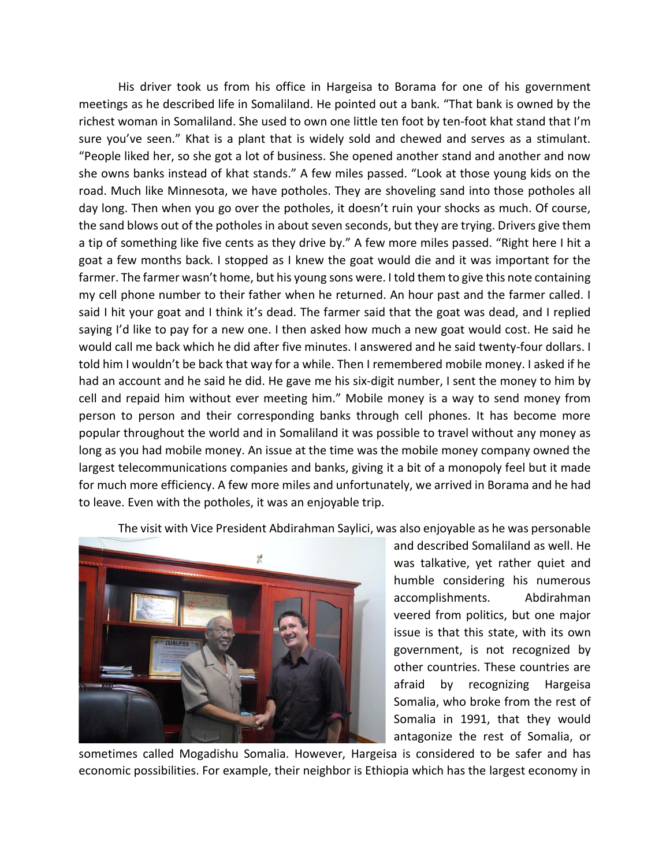His driver took us from his office in Hargeisa to Borama for one of his government meetings as he described life in Somaliland. He pointed out a bank. "That bank is owned by the richest woman in Somaliland. She used to own one little ten foot by ten-foot khat stand that I'm sure you've seen." Khat is a plant that is widely sold and chewed and serves as a stimulant. "People liked her, so she got a lot of business. She opened another stand and another and now she owns banks instead of khat stands." A few miles passed. "Look at those young kids on the road. Much like Minnesota, we have potholes. They are shoveling sand into those potholes all day long. Then when you go over the potholes, it doesn't ruin your shocks as much. Of course, the sand blows out of the potholes in about seven seconds, but they are trying. Drivers give them a tip of something like five cents as they drive by." A few more miles passed. "Right here I hit a goat a few months back. I stopped as I knew the goat would die and it was important for the farmer. The farmer wasn't home, but his young sons were. I told them to give this note containing my cell phone number to their father when he returned. An hour past and the farmer called. I said I hit your goat and I think it's dead. The farmer said that the goat was dead, and I replied saying I'd like to pay for a new one. I then asked how much a new goat would cost. He said he would call me back which he did after five minutes. I answered and he said twenty-four dollars. I told him I wouldn't be back that way for a while. Then I remembered mobile money. I asked if he had an account and he said he did. He gave me his six-digit number, I sent the money to him by cell and repaid him without ever meeting him." Mobile money is a way to send money from person to person and their corresponding banks through cell phones. It has become more popular throughout the world and in Somaliland it was possible to travel without any money as long as you had mobile money. An issue at the time was the mobile money company owned the largest telecommunications companies and banks, giving it a bit of a monopoly feel but it made for much more efficiency. A few more miles and unfortunately, we arrived in Borama and he had to leave. Even with the potholes, it was an enjoyable trip.

The visit with Vice President Abdirahman Saylici, was also enjoyable as he was personable



and described Somaliland as well. He was talkative, yet rather quiet and humble considering his numerous accomplishments. Abdirahman veered from politics, but one major issue is that this state, with its own government, is not recognized by other countries. These countries are afraid by recognizing Hargeisa Somalia, who broke from the rest of Somalia in 1991, that they would antagonize the rest of Somalia, or

sometimes called Mogadishu Somalia. However, Hargeisa is considered to be safer and has economic possibilities. For example, their neighbor is Ethiopia which has the largest economy in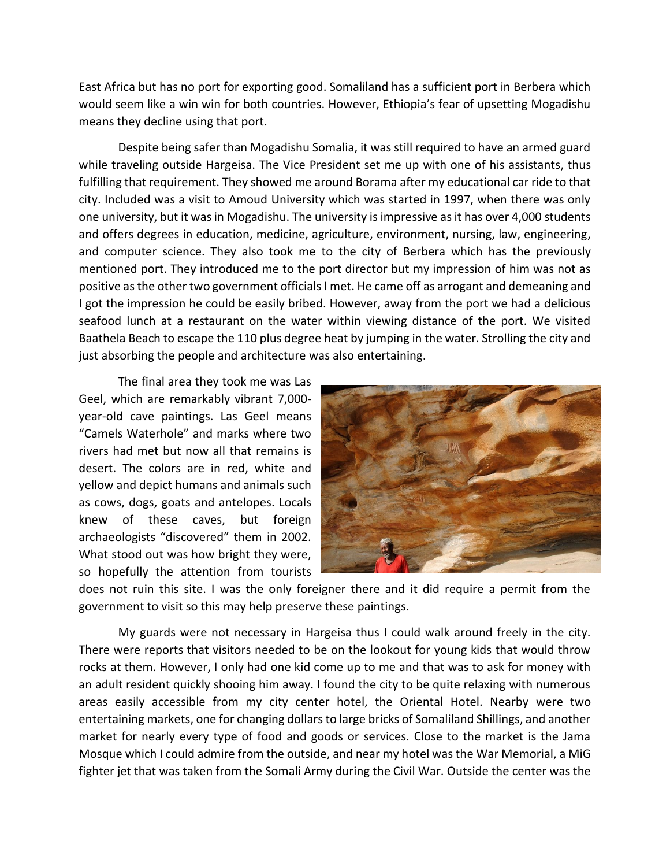East Africa but has no port for exporting good. Somaliland has a sufficient port in Berbera which would seem like a win win for both countries. However, Ethiopia's fear of upsetting Mogadishu means they decline using that port.

Despite being safer than Mogadishu Somalia, it was still required to have an armed guard while traveling outside Hargeisa. The Vice President set me up with one of his assistants, thus fulfilling that requirement. They showed me around Borama after my educational car ride to that city. Included was a visit to Amoud University which was started in 1997, when there was only one university, but it was in Mogadishu. The university is impressive as it has over 4,000 students and offers degrees in education, medicine, agriculture, environment, nursing, law, engineering, and computer science. They also took me to the city of Berbera which has the previously mentioned port. They introduced me to the port director but my impression of him was not as positive as the other two government officials I met. He came off as arrogant and demeaning and I got the impression he could be easily bribed. However, away from the port we had a delicious seafood lunch at a restaurant on the water within viewing distance of the port. We visited Baathela Beach to escape the 110 plus degree heat by jumping in the water. Strolling the city and just absorbing the people and architecture was also entertaining.

The final area they took me was Las Geel, which are remarkably vibrant 7,000 year-old cave paintings. Las Geel means "Camels Waterhole" and marks where two rivers had met but now all that remains is desert. The colors are in red, white and yellow and depict humans and animals such as cows, dogs, goats and antelopes. Locals knew of these caves, but foreign archaeologists "discovered" them in 2002. What stood out was how bright they were, so hopefully the attention from tourists



does not ruin this site. I was the only foreigner there and it did require a permit from the government to visit so this may help preserve these paintings.

My guards were not necessary in Hargeisa thus I could walk around freely in the city. There were reports that visitors needed to be on the lookout for young kids that would throw rocks at them. However, I only had one kid come up to me and that was to ask for money with an adult resident quickly shooing him away. I found the city to be quite relaxing with numerous areas easily accessible from my city center hotel, the Oriental Hotel. Nearby were two entertaining markets, one for changing dollars to large bricks of Somaliland Shillings, and another market for nearly every type of food and goods or services. Close to the market is the Jama Mosque which I could admire from the outside, and near my hotel was the War Memorial, a MiG fighter jet that was taken from the Somali Army during the Civil War. Outside the center was the